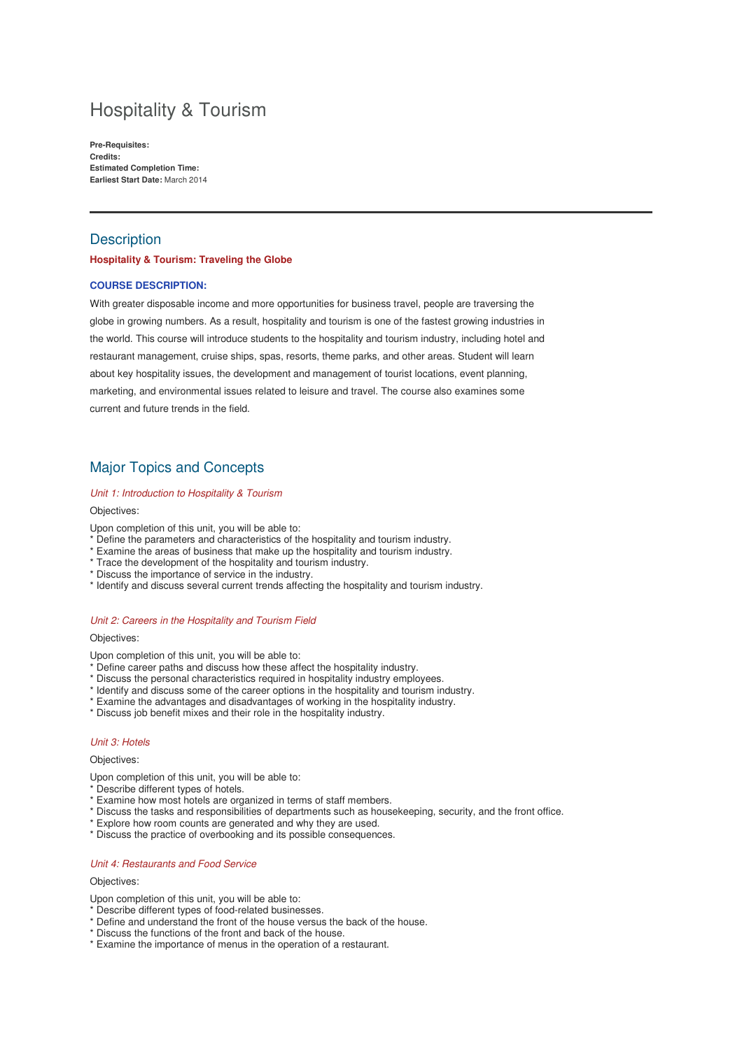# Hospitality & Tourism

**Pre-Requisites: Credits: Estimated Completion Time: Earliest Start Date:** March 2014

# **Description**

#### **Hospitality & Tourism: Traveling the Globe**

#### **COURSE DESCRIPTION:**

With greater disposable income and more opportunities for business travel, people are traversing the globe in growing numbers. As a result, hospitality and tourism is one of the fastest growing industries in the world. This course will introduce students to the hospitality and tourism industry, including hotel and restaurant management, cruise ships, spas, resorts, theme parks, and other areas. Student will learn about key hospitality issues, the development and management of tourist locations, event planning, marketing, and environmental issues related to leisure and travel. The course also examines some current and future trends in the field.

# Major Topics and Concepts

#### Unit 1: Introduction to Hospitality & Tourism

#### Objectives:

Upon completion of this unit, you will be able to:

- \* Define the parameters and characteristics of the hospitality and tourism industry.
- \* Examine the areas of business that make up the hospitality and tourism industry.
- \* Trace the development of the hospitality and tourism industry.
- \* Discuss the importance of service in the industry.
- \* Identify and discuss several current trends affecting the hospitality and tourism industry.

#### Unit 2: Careers in the Hospitality and Tourism Field

Objectives:

Upon completion of this unit, you will be able to:

- \* Define career paths and discuss how these affect the hospitality industry.
- \* Discuss the personal characteristics required in hospitality industry employees.
- \* Identify and discuss some of the career options in the hospitality and tourism industry.
- \* Examine the advantages and disadvantages of working in the hospitality industry.
- \* Discuss job benefit mixes and their role in the hospitality industry.

#### Unit 3: Hotels

#### Objectives:

- Upon completion of this unit, you will be able to:
- <sup>\*</sup> Describe different types of hotels.
- \* Examine how most hotels are organized in terms of staff members.
- \* Discuss the tasks and responsibilities of departments such as housekeeping, security, and the front office.
- \* Explore how room counts are generated and why they are used.
- \* Discuss the practice of overbooking and its possible consequences.

#### Unit 4: Restaurants and Food Service

#### Objectives:

Upon completion of this unit, you will be able to:

- \* Describe different types of food-related businesses.
- \* Define and understand the front of the house versus the back of the house.
- \* Discuss the functions of the front and back of the house.
- \* Examine the importance of menus in the operation of a restaurant.